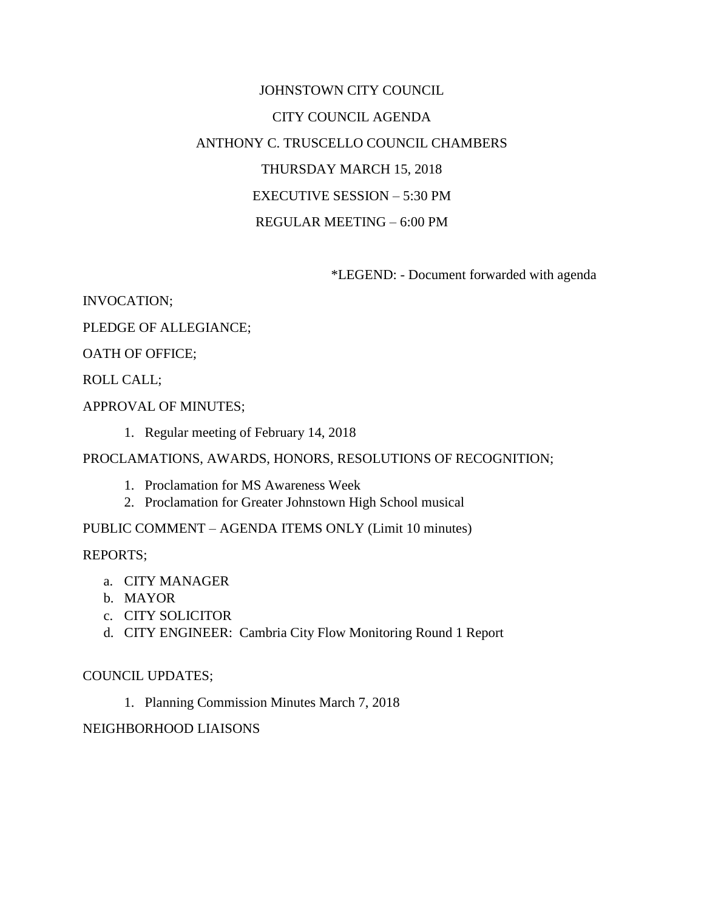# JOHNSTOWN CITY COUNCIL CITY COUNCIL AGENDA ANTHONY C. TRUSCELLO COUNCIL CHAMBERS THURSDAY MARCH 15, 2018 EXECUTIVE SESSION – 5:30 PM REGULAR MEETING – 6:00 PM

\*LEGEND: - Document forwarded with agenda

INVOCATION;

PLEDGE OF ALLEGIANCE;

OATH OF OFFICE;

ROLL CALL;

APPROVAL OF MINUTES;

1. Regular meeting of February 14, 2018

PROCLAMATIONS, AWARDS, HONORS, RESOLUTIONS OF RECOGNITION;

- 1. Proclamation for MS Awareness Week
- 2. Proclamation for Greater Johnstown High School musical

### PUBLIC COMMENT – AGENDA ITEMS ONLY (Limit 10 minutes)

REPORTS;

- a. CITY MANAGER
- b. MAYOR
- c. CITY SOLICITOR
- d. CITY ENGINEER: Cambria City Flow Monitoring Round 1 Report

### COUNCIL UPDATES;

1. Planning Commission Minutes March 7, 2018

### NEIGHBORHOOD LIAISONS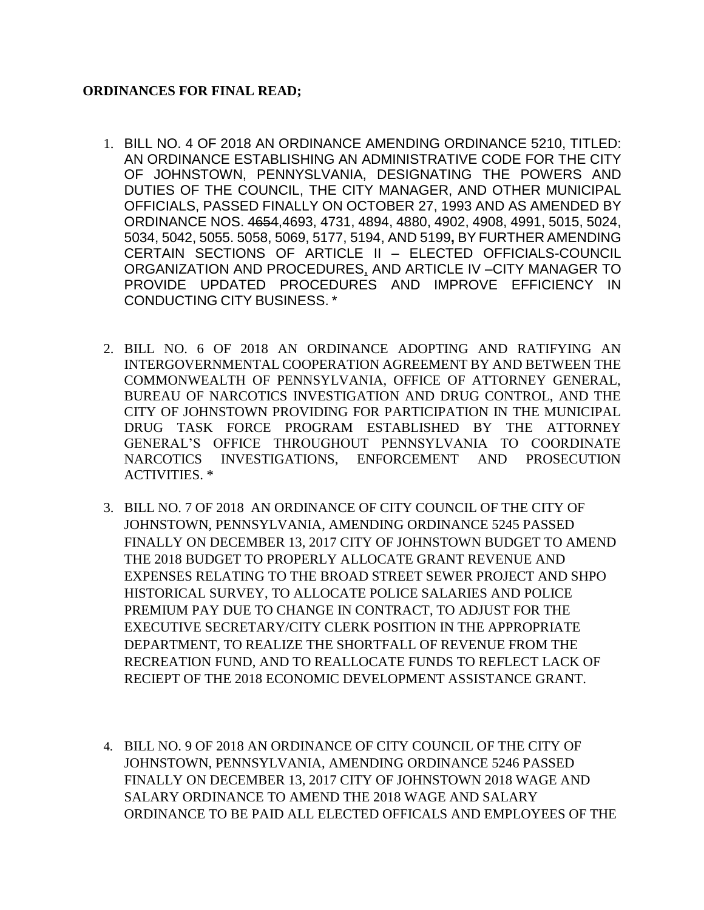# **ORDINANCES FOR FINAL READ;**

- 1. BILL NO. 4 OF 2018 AN ORDINANCE AMENDING ORDINANCE 5210, TITLED: AN ORDINANCE ESTABLISHING AN ADMINISTRATIVE CODE FOR THE CITY OF JOHNSTOWN, PENNYSLVANIA, DESIGNATING THE POWERS AND DUTIES OF THE COUNCIL, THE CITY MANAGER, AND OTHER MUNICIPAL OFFICIALS, PASSED FINALLY ON OCTOBER 27, 1993 AND AS AMENDED BY ORDINANCE NOS. 4654,4693, 4731, 4894, 4880, 4902, 4908, 4991, 5015, 5024, 5034, 5042, 5055. 5058, 5069, 5177, 5194, AND 5199**,** BY FURTHER AMENDING CERTAIN SECTIONS OF ARTICLE II – ELECTED OFFICIALS-COUNCIL ORGANIZATION AND PROCEDURES, AND ARTICLE IV –CITY MANAGER TO PROVIDE UPDATED PROCEDURES AND IMPROVE EFFICIENCY IN CONDUCTING CITY BUSINESS. \*
- 2. BILL NO. 6 OF 2018 AN ORDINANCE ADOPTING AND RATIFYING AN INTERGOVERNMENTAL COOPERATION AGREEMENT BY AND BETWEEN THE COMMONWEALTH OF PENNSYLVANIA, OFFICE OF ATTORNEY GENERAL, BUREAU OF NARCOTICS INVESTIGATION AND DRUG CONTROL, AND THE CITY OF JOHNSTOWN PROVIDING FOR PARTICIPATION IN THE MUNICIPAL DRUG TASK FORCE PROGRAM ESTABLISHED BY THE ATTORNEY GENERAL'S OFFICE THROUGHOUT PENNSYLVANIA TO COORDINATE NARCOTICS INVESTIGATIONS, ENFORCEMENT AND PROSECUTION ACTIVITIES. \*
- 3. BILL NO. 7 OF 2018 AN ORDINANCE OF CITY COUNCIL OF THE CITY OF JOHNSTOWN, PENNSYLVANIA, AMENDING ORDINANCE 5245 PASSED FINALLY ON DECEMBER 13, 2017 CITY OF JOHNSTOWN BUDGET TO AMEND THE 2018 BUDGET TO PROPERLY ALLOCATE GRANT REVENUE AND EXPENSES RELATING TO THE BROAD STREET SEWER PROJECT AND SHPO HISTORICAL SURVEY, TO ALLOCATE POLICE SALARIES AND POLICE PREMIUM PAY DUE TO CHANGE IN CONTRACT, TO ADJUST FOR THE EXECUTIVE SECRETARY/CITY CLERK POSITION IN THE APPROPRIATE DEPARTMENT, TO REALIZE THE SHORTFALL OF REVENUE FROM THE RECREATION FUND, AND TO REALLOCATE FUNDS TO REFLECT LACK OF RECIEPT OF THE 2018 ECONOMIC DEVELOPMENT ASSISTANCE GRANT.
- 4. BILL NO. 9 OF 2018 AN ORDINANCE OF CITY COUNCIL OF THE CITY OF JOHNSTOWN, PENNSYLVANIA, AMENDING ORDINANCE 5246 PASSED FINALLY ON DECEMBER 13, 2017 CITY OF JOHNSTOWN 2018 WAGE AND SALARY ORDINANCE TO AMEND THE 2018 WAGE AND SALARY ORDINANCE TO BE PAID ALL ELECTED OFFICALS AND EMPLOYEES OF THE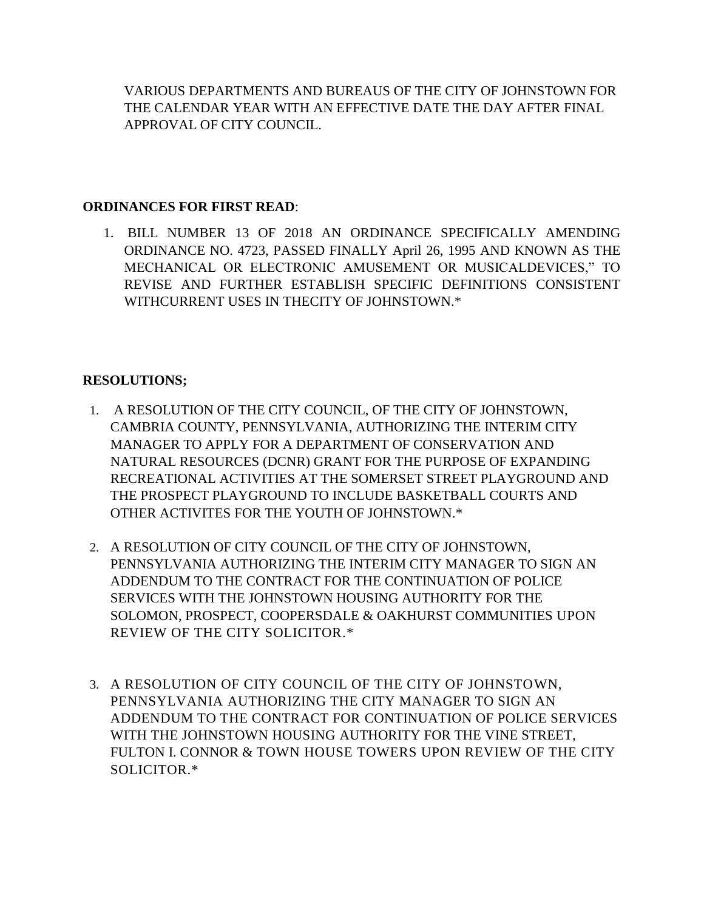VARIOUS DEPARTMENTS AND BUREAUS OF THE CITY OF JOHNSTOWN FOR THE CALENDAR YEAR WITH AN EFFECTIVE DATE THE DAY AFTER FINAL APPROVAL OF CITY COUNCIL.

## **ORDINANCES FOR FIRST READ**:

1. BILL NUMBER 13 OF 2018 AN ORDINANCE SPECIFICALLY AMENDING ORDINANCE NO. 4723, PASSED FINALLY April 26, 1995 AND KNOWN AS THE MECHANICAL OR ELECTRONIC AMUSEMENT OR MUSICALDEVICES," TO REVISE AND FURTHER ESTABLISH SPECIFIC DEFINITIONS CONSISTENT WITHCURRENT USES IN THECITY OF JOHNSTOWN.\*

# **RESOLUTIONS;**

- 1. A RESOLUTION OF THE CITY COUNCIL, OF THE CITY OF JOHNSTOWN, CAMBRIA COUNTY, PENNSYLVANIA, AUTHORIZING THE INTERIM CITY MANAGER TO APPLY FOR A DEPARTMENT OF CONSERVATION AND NATURAL RESOURCES (DCNR) GRANT FOR THE PURPOSE OF EXPANDING RECREATIONAL ACTIVITIES AT THE SOMERSET STREET PLAYGROUND AND THE PROSPECT PLAYGROUND TO INCLUDE BASKETBALL COURTS AND OTHER ACTIVITES FOR THE YOUTH OF JOHNSTOWN.\*
- 2. A RESOLUTION OF CITY COUNCIL OF THE CITY OF JOHNSTOWN, PENNSYLVANIA AUTHORIZING THE INTERIM CITY MANAGER TO SIGN AN ADDENDUM TO THE CONTRACT FOR THE CONTINUATION OF POLICE SERVICES WITH THE JOHNSTOWN HOUSING AUTHORITY FOR THE SOLOMON, PROSPECT, COOPERSDALE & OAKHURST COMMUNITIES UPON REVIEW OF THE CITY SOLICITOR.\*
- 3. A RESOLUTION OF CITY COUNCIL OF THE CITY OF JOHNSTOWN, PENNSYLVANIA AUTHORIZING THE CITY MANAGER TO SIGN AN ADDENDUM TO THE CONTRACT FOR CONTINUATION OF POLICE SERVICES WITH THE JOHNSTOWN HOUSING AUTHORITY FOR THE VINE STREET, FULTON I. CONNOR & TOWN HOUSE TOWERS UPON REVIEW OF THE CITY SOLICITOR.\*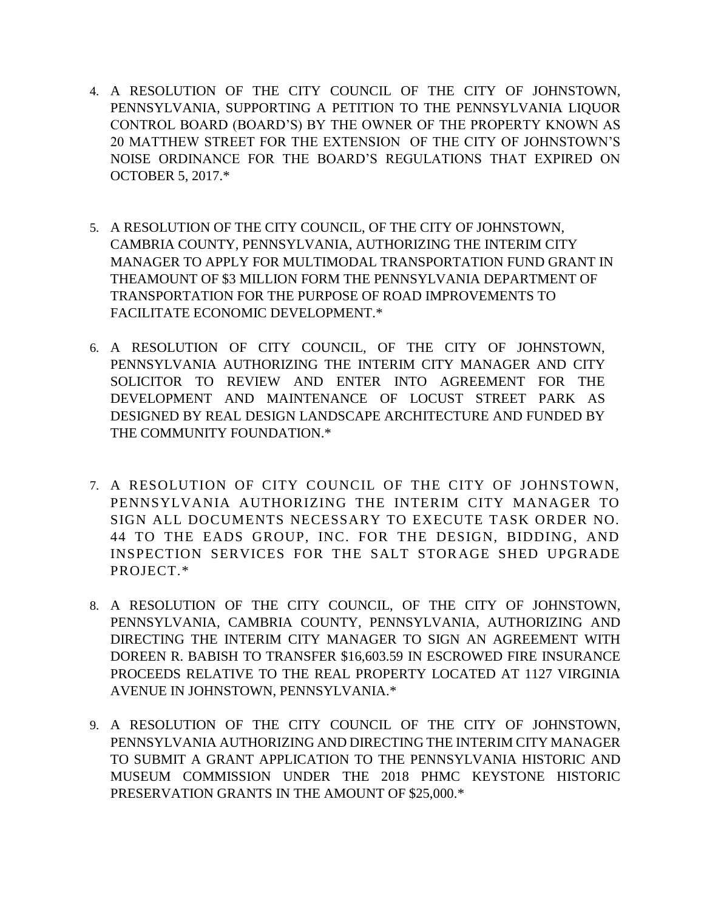- 4. A RESOLUTION OF THE CITY COUNCIL OF THE CITY OF JOHNSTOWN, PENNSYLVANIA, SUPPORTING A PETITION TO THE PENNSYLVANIA LIQUOR CONTROL BOARD (BOARD'S) BY THE OWNER OF THE PROPERTY KNOWN AS 20 MATTHEW STREET FOR THE EXTENSION OF THE CITY OF JOHNSTOWN'S NOISE ORDINANCE FOR THE BOARD'S REGULATIONS THAT EXPIRED ON OCTOBER 5, 2017.\*
- 5. A RESOLUTION OF THE CITY COUNCIL, OF THE CITY OF JOHNSTOWN, CAMBRIA COUNTY, PENNSYLVANIA, AUTHORIZING THE INTERIM CITY MANAGER TO APPLY FOR MULTIMODAL TRANSPORTATION FUND GRANT IN THEAMOUNT OF \$3 MILLION FORM THE PENNSYLVANIA DEPARTMENT OF TRANSPORTATION FOR THE PURPOSE OF ROAD IMPROVEMENTS TO FACILITATE ECONOMIC DEVELOPMENT.\*
- 6. A RESOLUTION OF CITY COUNCIL, OF THE CITY OF JOHNSTOWN, PENNSYLVANIA AUTHORIZING THE INTERIM CITY MANAGER AND CITY SOLICITOR TO REVIEW AND ENTER INTO AGREEMENT FOR THE DEVELOPMENT AND MAINTENANCE OF LOCUST STREET PARK AS DESIGNED BY REAL DESIGN LANDSCAPE ARCHITECTURE AND FUNDED BY THE COMMUNITY FOUNDATION.\*
- 7. A RESOLUTION OF CITY COUNCIL OF THE CITY OF JOHNSTOWN, PENNSYLVANIA AUTHORIZING THE INTERIM CITY MANAGER TO SIGN ALL DOCUMENTS NECESSARY TO EXECUTE TASK ORDER NO. 44 TO THE EADS GROUP, INC. FOR THE DESIGN, BIDDING, AND INSPECTION SERVICES FOR THE SALT STORAGE SHED UPGRADE PROJECT.\*
- 8. A RESOLUTION OF THE CITY COUNCIL, OF THE CITY OF JOHNSTOWN, PENNSYLVANIA, CAMBRIA COUNTY, PENNSYLVANIA, AUTHORIZING AND DIRECTING THE INTERIM CITY MANAGER TO SIGN AN AGREEMENT WITH DOREEN R. BABISH TO TRANSFER \$16,603.59 IN ESCROWED FIRE INSURANCE PROCEEDS RELATIVE TO THE REAL PROPERTY LOCATED AT 1127 VIRGINIA AVENUE IN JOHNSTOWN, PENNSYLVANIA.\*
- 9. A RESOLUTION OF THE CITY COUNCIL OF THE CITY OF JOHNSTOWN, PENNSYLVANIA AUTHORIZING AND DIRECTING THE INTERIM CITY MANAGER TO SUBMIT A GRANT APPLICATION TO THE PENNSYLVANIA HISTORIC AND MUSEUM COMMISSION UNDER THE 2018 PHMC KEYSTONE HISTORIC PRESERVATION GRANTS IN THE AMOUNT OF \$25,000.\*